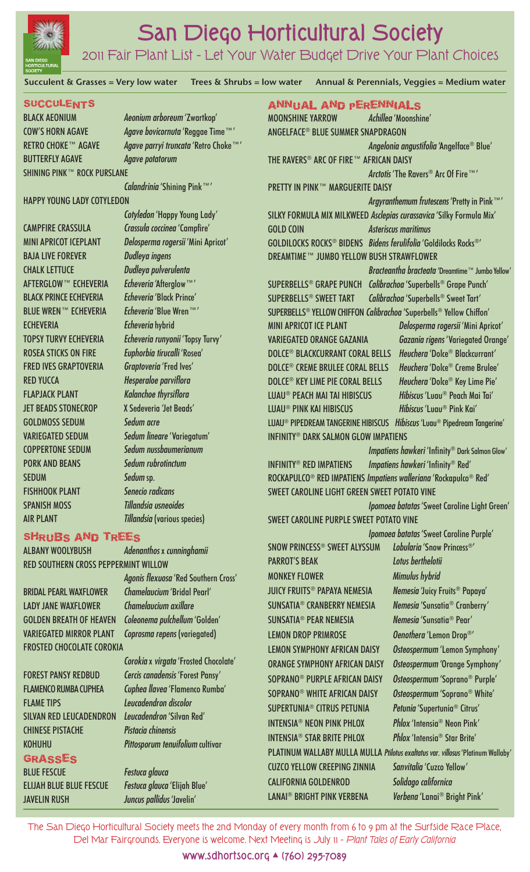

# **San Diego Horticultural Society**

# 2011 Fair Plant List – Let Your Water Budget Drive Your Plant Choices

**Succulent & Grasses = Very low water Trees & Shrubs = low water Annual & Perennials, Veggies = Medium water**

#### **SUCCULENTS**

BLACK AEONIUM *Aeonium arboreum* 'Zwartkop' COW'S HORN AGAVE *Agave bovicornuta* 'Reggae Time™' RETRO CHOKE™ AGAVE *Agave parryi truncata* 'Retro Choke™' BUTTERFLY AGAVE *Agave potatorum* SHINING PINK™ ROCK PURSLANE

*Calandrinia* 'Shining Pink™'

#### HAPPY YOUNG LADY COTYLEDON

BAJA LIVE FOREVER *Dudleya ingens* CHALK LETTUCE *Dudleya pulverulenta* AFTERGLOW™ ECHEVERIA *Echeveria* 'Afterglow™' BLACK PRINCE ECHEVERIA *Echeveria* 'Black Prince' BLUE WREN™ ECHEVERIA *Echeveria* 'Blue Wren™' ECHEVERIA *Echeveria* hybrid ROSEA STICKS ON FIRE *Euphorbia tirucalli* 'Rosea' FRED IVES GRAPTOVERIA *Graptoveria* 'Fred Ives' RED YUCCA *Hesperaloe parviflora* FLAPJACK PLANT *Kalanchoe thyrsiflora* JET BEADS STONECROP X Sedeveria 'Jet Beads' GOLDMOSS SEDUM *Sedum acre* COPPERTONE SEDUM *Sedum nussbaumerianum* PORK AND BEANS *Sedum rubrotinctum* SEDUM *Sedum* sp. FISHHOOK PLANT *Senecio radicans* SPANISH MOSS *Tillandsia usneoides*

*Cotyledon* 'Happy Young Lady' CAMPFIRE CRASSULA *Crassula coccinea* 'Campfire' MINI APRICOT ICEPLANT *Delosperma rogersii* 'Mini Apricot' TOPSY TURVY ECHEVERIA *Echeveria runyonii* 'Topsy Turvy' VARIEGATED SEDUM *Sedum lineare* 'Variegatum' AIR PLANT *Tillandsia* (various species)

### Shrubs and trees

ALBANY WOOLYBUSH *Adenanthos* x *cunninghamii*  RED SOUTHERN CROSS PEPPERMINT WILLOW

BRIDAL PEARL WAXFLOWER *Chamelaucium* 'Bridal Pearl' LADY JANE WAXFLOWER *Chamelaucium axillare* GOLDEN BREATH OF HEAVEN *Coleonema pulchellum* 'Golden' VARIEGATED MIRROR PLANT *Coprosma repens* (variegated) FROSTED CHOCOLATE COROKIA

FLAME TIPS *Leucadendron discolor* SILVAN RED LEUCADENDRON *Leucadendron* 'Silvan Red' CHINESE PISTACHE *Pistacia chinensis*

# **GRASSES**

BLUE FESCUE *Festuca glauca* ELIJAH BLUE BLUE FESCUE *Festuca glauca* 'Elijah Blue' JAVELIN RUSH *Juncus pallidus* 'Javelin'

*Agonis flexuosa* 'Red Southern Cross'

*Corokia* x *virgata* 'Frosted Chocolate' FOREST PANSY REDBUD *Cercis canadensis* 'Forest Pansy' FLAMENCO RUMBA CUPHEA *Cuphea llavea* 'Flamenco Rumba' KOHUHU *Pittosporum tenuifolium* cultivar

| ANNUAL AND PERENNIALS                                                            |                                                                                                           |                                                 |  |
|----------------------------------------------------------------------------------|-----------------------------------------------------------------------------------------------------------|-------------------------------------------------|--|
|                                                                                  | <b>MOONSHINE YARROW</b>                                                                                   | Achillea 'Moonshine'                            |  |
|                                                                                  | ANGELFACE® BLUE SUMMER SNAPDRAGON                                                                         |                                                 |  |
|                                                                                  |                                                                                                           | Angelonia angustifolia 'Angelface® Blue'        |  |
|                                                                                  | THE RAVERS® ARC OF FIRE™ AFRICAN DAISY                                                                    |                                                 |  |
| Arctotis 'The Ravers® Arc Of Fire ™'                                             |                                                                                                           |                                                 |  |
|                                                                                  | <b>PRETTY IN PINK™ MARGUERITE DAISY</b>                                                                   |                                                 |  |
| Argyranthemum frutescens 'Pretty in Pink™'                                       |                                                                                                           |                                                 |  |
|                                                                                  | SILKY FORMULA MIX MILKWEED Asclepias curassavica 'Silky Formula Mix'                                      |                                                 |  |
|                                                                                  | <b>GOLD COIN</b><br><b>Asteriscus maritimus</b>                                                           |                                                 |  |
|                                                                                  | GOLDILOCKS ROCKS <sup>®</sup> BIDENS <i>Bidens ferulifolia</i> 'Goldilocks Rocks®'                        |                                                 |  |
|                                                                                  | <b>DREAMTIME™ JUMBO YELLOW BUSH STRAWFLOWER</b>                                                           |                                                 |  |
|                                                                                  |                                                                                                           | Bracteantha bracteata 'Dreamtime™ Jumbo Yellow' |  |
|                                                                                  | <b>SUPERBELLS<sup>®</sup> GRAPE PUNCH</b>                                                                 | Calibrachoa 'Superbells® Grape Punch'           |  |
|                                                                                  | <b>SUPERBELLS<sup>®</sup> SWEET TART</b>                                                                  | Calibrachoa 'Superbells® Sweet Tart'            |  |
|                                                                                  | SUPERBELLS® YELLOW CHIFFON Calibrachoa 'Superbells® Yellow Chiffon'                                       |                                                 |  |
|                                                                                  | <b>MINI APRICOT ICE PLANT</b>                                                                             | Delosperma rogersii 'Mini Apricot'              |  |
|                                                                                  | <b>VARIEGATED ORANGE GAZANIA</b>                                                                          | Gazania rigens 'Variegated Orange'              |  |
|                                                                                  | <b>DOLCE® BLACKCURRANT CORAL BELLS</b>                                                                    | Heuchera 'Dolce® Blackcurrant'                  |  |
|                                                                                  | <b>DOLCE<sup>®</sup> CREME BRULEE CORAL BELLS</b>                                                         | Heuchera 'Dolce® Creme Brulee'                  |  |
|                                                                                  | <b>DOLCE<sup>®</sup> KEY LIME PIE CORAL BELLS</b>                                                         | Heuchera 'Dolce® Key Lime Pie'                  |  |
|                                                                                  | LUAU® PEACH MAI TAI HIBISCUS                                                                              | <i>Hibiscus</i> 'Luau® Peach Mai Tai'           |  |
|                                                                                  | <b>LUAU® PINK KAI HIBISCUS</b>                                                                            | <i>Hibiscus</i> 'Lugu <sup>®</sup> Pink Kai'    |  |
|                                                                                  | LUAU <sup>®</sup> PIPEDREAM TANGERINE HIBISCUS<br><i>Hibiscus</i> 'Luau <sup>®</sup> Pipedream Tangerine' |                                                 |  |
|                                                                                  | <b>INFINITY® DARK SALMON GLOW IMPATIENS</b>                                                               |                                                 |  |
| Impatiens hawkeri 'Infinity® Dark Salmon Glow'                                   |                                                                                                           |                                                 |  |
|                                                                                  | Impatiens hawkeri 'Infinity® Red'<br><b>INFINITY® RED IMPATIENS</b>                                       |                                                 |  |
|                                                                                  | ROCKAPULCO® RED IMPATIENS Impatiens walleriana 'Rockapulco® Red'                                          |                                                 |  |
| <b>SWEET CAROLINE LIGHT GREEN SWEET POTATO VINE</b>                              |                                                                                                           |                                                 |  |
|                                                                                  | Ipomoea batatas 'Sweet Caroline Light Green'                                                              |                                                 |  |
|                                                                                  | <b>SWEET CAROLINE PURPLE SWEET POTATO VINE</b>                                                            |                                                 |  |
|                                                                                  |                                                                                                           | <i>Ipomoea batatas</i> 'Sweet Caroline Purple'  |  |
|                                                                                  | SNOW PRINCESS <sup>®</sup> SWEET ALYSSUM                                                                  | Lobularia 'Snow Princess®'                      |  |
|                                                                                  | <b>PARROT'S BEAK</b>                                                                                      | Lotus berthelotii                               |  |
|                                                                                  | <b>MONKEY FLOWER</b>                                                                                      | Mimulus hybrid                                  |  |
|                                                                                  | <b>JUICY FRUITS<sup>®</sup> PAPAYA NEMESIA</b>                                                            | Nemesia 'Juicy Fruits <sup>®</sup> Papaya'      |  |
|                                                                                  | SUNSATIA <sup>®</sup> CRANBERRY NEMESIA                                                                   | Nemesia 'Sunsatia <sup>®</sup> Cranberry'       |  |
|                                                                                  | <b>SUNSATIA<sup>®</sup> PEAR NEMESIA</b>                                                                  | Nemesia 'Sunsatia <sup>®</sup> Pear'            |  |
|                                                                                  | <b>LEMON DROP PRIMROSE</b>                                                                                | Oenothera 'Lemon Drop®'                         |  |
|                                                                                  | <b>LEMON SYMPHONY AFRICAN DAISY</b>                                                                       | Osteospermum 'Lemon Symphony'                   |  |
|                                                                                  | <b>ORANGE SYMPHONY AFRICAN DAISY</b>                                                                      | Osteospermum 'Orange Symphony'                  |  |
|                                                                                  | SOPRANO <sup>®</sup> PURPLE AFRICAN DAISY                                                                 | Osteospermum 'Soprano® Purple'                  |  |
|                                                                                  | SOPRANO <sup>®</sup> WHITE AFRICAN DAISY                                                                  | Osteospermum 'Soprano® White'                   |  |
|                                                                                  | SUPERTUNIA <sup>®</sup> CITRUS PETUNIA                                                                    | Petunia 'Supertunia <sup>®</sup> Citrus'        |  |
|                                                                                  | <b>INTENSIA<sup>®</sup> NEON PINK PHLOX</b>                                                               | Phlox 'Intensia <sup>®</sup> Neon Pink'         |  |
|                                                                                  | <b>INTENSIA<sup>®</sup> STAR BRITE PHLOX</b>                                                              | <i>Phlox</i> 'Intensia <sup>®</sup> Star Brite' |  |
| PLATINUM WALLABY MULLA MULLA Ptilotus exaltatus var. villosus 'Platinum Wallaby' |                                                                                                           |                                                 |  |
|                                                                                  | <b>CUZCO YELLOW CREEPING ZINNIA</b>                                                                       | Sanvitalia 'Cuzco Yellow'                       |  |
|                                                                                  | <b>CALIFORNIA GOLDENROD</b>                                                                               | Solidago californica                            |  |
|                                                                                  | <b>LANAI<sup>®</sup> BRIGHT PINK VERBENA</b>                                                              | Verbena 'Lanai <sup>®</sup> Bright Pink'        |  |
|                                                                                  |                                                                                                           |                                                 |  |

The San Diego Horticultural Society meets the 2nd Monday of every month from 6 to 9 pm at the Surfside Race Place, Del Mar Fairgrounds. Everyone is welcome. Next Meeting is July 11 – *Plant Tales of Early California*